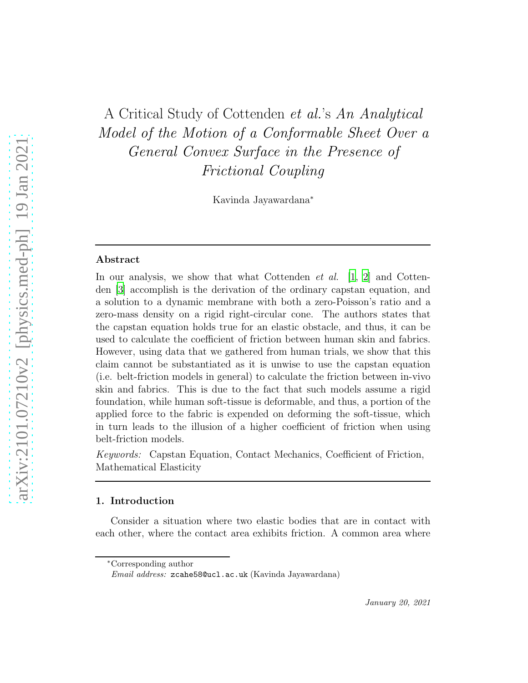# A Critical Study of Cottenden *et al.*'s *An Analytical Model of the Motion of a Conformable Sheet Over a General Convex Surface in the Presence of Frictional Coupling*

Kavinda Jayawardana<sup>∗</sup>

#### Abstract

In our analysis, we show that what Cottenden *et al.* [\[1](#page-23-0), [2](#page-23-1)] and Cottenden [\[3\]](#page-23-2) accomplish is the derivation of the ordinary capstan equation, and a solution to a dynamic membrane with both a zero-Poisson's ratio and a zero-mass density on a rigid right-circular cone. The authors states that the capstan equation holds true for an elastic obstacle, and thus, it can be used to calculate the coefficient of friction between human skin and fabrics. However, using data that we gathered from human trials, we show that this claim cannot be substantiated as it is unwise to use the capstan equation (i.e. belt-friction models in general) to calculate the friction between in-vivo skin and fabrics. This is due to the fact that such models assume a rigid foundation, while human soft-tissue is deformable, and thus, a portion of the applied force to the fabric is expended on deforming the soft-tissue, which in turn leads to the illusion of a higher coefficient of friction when using belt-friction models.

*Keywords:* Capstan Equation, Contact Mechanics, Coefficient of Friction, Mathematical Elasticity

### 1. Introduction

Consider a situation where two elastic bodies that are in contact with each other, where the contact area exhibits friction. A common area where

<sup>∗</sup>Corresponding author

Email address: zcahe58@ucl.ac.uk (Kavinda Jayawardana)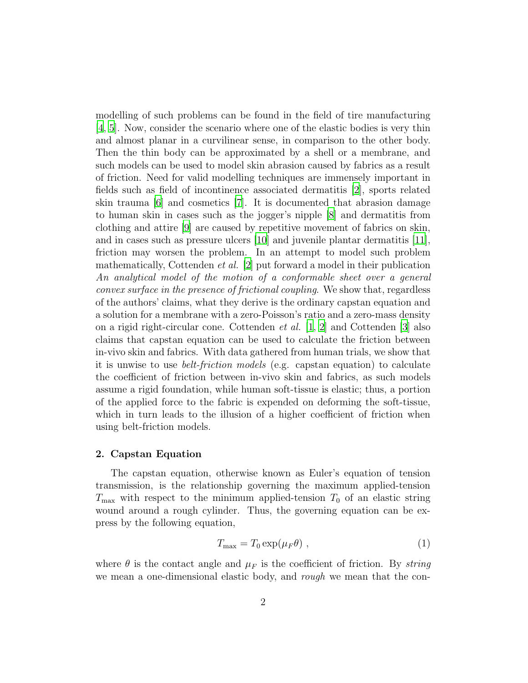modelling of such problems can be found in the field of tire manufacturing [\[4,](#page-23-3) [5\]](#page-23-4). Now, consider the scenario where one of the elastic bodies is very thin and almost planar in a curvilinear sense, in comparison to the other body. Then the thin body can be approximated by a shell or a membrane, and such models can be used to model skin abrasion caused by fabrics as a result of friction. Need for valid modelling techniques are immensely important in fields such as field of incontinence associated dermatitis [\[2\]](#page-23-1), sports related skin trauma [\[6\]](#page-24-0) and cosmetics [\[7](#page-24-1)]. It is documented that abrasion damage to human skin in cases such as the jogger's nipple [\[8](#page-24-2)] and dermatitis from clothing and attire [\[9](#page-24-3)] are caused by repetitive movement of fabrics on skin, and in cases such as pressure ulcers [\[10](#page-24-4)] and juvenile plantar dermatitis [\[11\]](#page-24-5), friction may worsen the problem. In an attempt to model such problem mathematically, Cottenden *et al.* [\[2\]](#page-23-1) put forward a model in their publication *An analytical model of the motion of a conformable sheet over a general convex surface in the presence of frictional coupling*. We show that, regardless of the authors' claims, what they derive is the ordinary capstan equation and a solution for a membrane with a zero-Poisson's ratio and a zero-mass density on a rigid right-circular cone. Cottenden *et al.* [\[1](#page-23-0), [2](#page-23-1)] and Cottenden [\[3\]](#page-23-2) also claims that capstan equation can be used to calculate the friction between in-vivo skin and fabrics. With data gathered from human trials, we show that it is unwise to use *belt-friction models* (e.g. capstan equation) to calculate the coefficient of friction between in-vivo skin and fabrics, as such models assume a rigid foundation, while human soft-tissue is elastic; thus, a portion of the applied force to the fabric is expended on deforming the soft-tissue, which in turn leads to the illusion of a higher coefficient of friction when using belt-friction models.

#### 2. Capstan Equation

The capstan equation, otherwise known as Euler's equation of tension transmission, is the relationship governing the maximum applied-tension  $T_{\text{max}}$  with respect to the minimum applied-tension  $T_0$  of an elastic string wound around a rough cylinder. Thus, the governing equation can be express by the following equation,

<span id="page-1-0"></span>
$$
T_{\text{max}} = T_0 \exp(\mu_F \theta) \tag{1}
$$

where  $\theta$  is the contact angle and  $\mu_F$  is the coefficient of friction. By *string* we mean a one-dimensional elastic body, and *rough* we mean that the con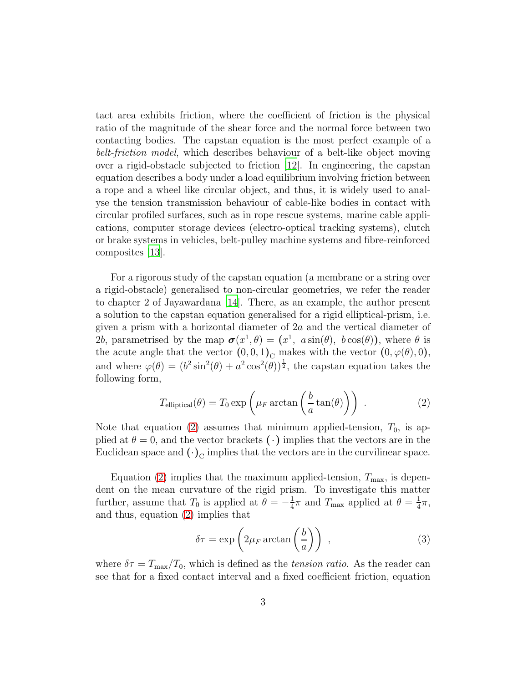tact area exhibits friction, where the coefficient of friction is the physical ratio of the magnitude of the shear force and the normal force between two contacting bodies. The capstan equation is the most perfect example of a *belt-friction model*, which describes behaviour of a belt-like object moving over a rigid-obstacle subjected to friction [\[12\]](#page-24-6). In engineering, the capstan equation describes a body under a load equilibrium involving friction between a rope and a wheel like circular object, and thus, it is widely used to analyse the tension transmission behaviour of cable-like bodies in contact with circular profiled surfaces, such as in rope rescue systems, marine cable applications, computer storage devices (electro-optical tracking systems), clutch or brake systems in vehicles, belt-pulley machine systems and fibre-reinforced composites [\[13\]](#page-24-7).

For a rigorous study of the capstan equation (a membrane or a string over a rigid-obstacle) generalised to non-circular geometries, we refer the reader to chapter 2 of Jayawardana [\[14\]](#page-24-8). There, as an example, the author present a solution to the capstan equation generalised for a rigid elliptical-prism, i.e. given a prism with a horizontal diameter of 2a and the vertical diameter of 2b, parametrised by the map  $\sigma(x^1, \theta) = (x^1, a \sin(\theta), b \cos(\theta))$ , where  $\theta$  is the acute angle that the vector  $(0, 0, 1)$ <sub>C</sub> makes with the vector  $(0, \varphi(\theta), 0)$ , and where  $\varphi(\theta) = (b^2 \sin^2(\theta) + a^2 \cos^2(\theta))^{\frac{1}{2}}$ , the capstan equation takes the following form,

<span id="page-2-0"></span>
$$
T_{\text{elliptical}}(\theta) = T_0 \exp\left(\mu_F \arctan\left(\frac{b}{a}\tan(\theta)\right)\right) \tag{2}
$$

Note that equation [\(2\)](#page-2-0) assumes that minimum applied-tension,  $T_0$ , is applied at  $\theta = 0$ , and the vector brackets ( $\cdot$ ) implies that the vectors are in the Euclidean space and  $(\cdot)_{\text{C}}$  implies that the vectors are in the curvilinear space.

Equation [\(2\)](#page-2-0) implies that the maximum applied-tension,  $T_{\text{max}}$ , is dependent on the mean curvature of the rigid prism. To investigate this matter further, assume that  $T_0$  is applied at  $\theta = -\frac{1}{4}$  $\frac{1}{4}\pi$  and  $T_{\text{max}}$  applied at  $\theta = \frac{1}{4}$  $rac{1}{4}\pi,$ and thus, equation [\(2\)](#page-2-0) implies that

<span id="page-2-1"></span>
$$
\delta \tau = \exp\left(2\mu_F \arctan\left(\frac{b}{a}\right)\right) \,,\tag{3}
$$

where  $\delta \tau = T_{\text{max}}/T_0$ , which is defined as the *tension ratio*. As the reader can see that for a fixed contact interval and a fixed coefficient friction, equation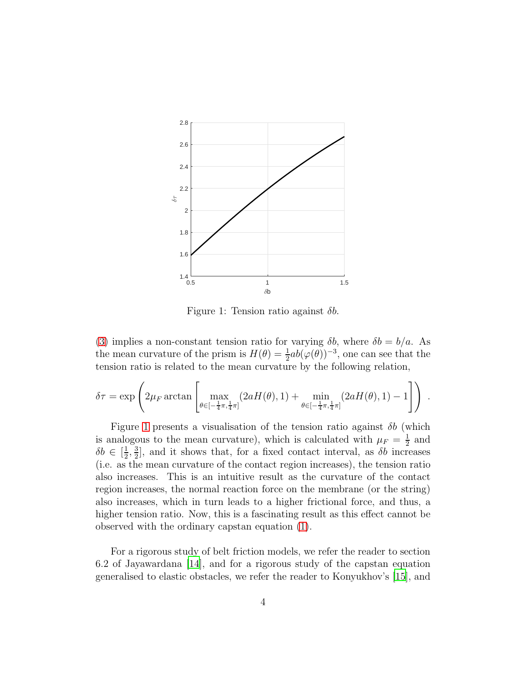<span id="page-3-0"></span>

Figure 1: Tension ratio against  $\delta b$ .

[\(3\)](#page-2-1) implies a non-constant tension ratio for varying  $\delta b$ , where  $\delta b = b/a$ . As the mean curvature of the prism is  $H(\theta) = \frac{1}{2}ab(\varphi(\theta))^{-3}$ , one can see that the tension ratio is related to the mean curvature by the following relation,

$$
\delta \tau = \exp \left( 2\mu_F \arctan \left[ \max_{\theta \in [-\frac{1}{4}\pi, \frac{1}{4}\pi]} (2aH(\theta), 1) + \min_{\theta \in [-\frac{1}{4}\pi, \frac{1}{4}\pi]} (2aH(\theta), 1) - 1 \right] \right) .
$$

Figure [1](#page-3-0) presents a visualisation of the tension ratio against  $\delta b$  (which is analogous to the mean curvature), which is calculated with  $\mu_F = \frac{1}{2}$  $\frac{1}{2}$  and  $\delta b \in \left[\frac{1}{2}\right]$  $\frac{1}{2}$ ,  $\frac{3}{2}$  $\frac{3}{2}$ , and it shows that, for a fixed contact interval, as  $\delta b$  increases (i.e. as the mean curvature of the contact region increases), the tension ratio also increases. This is an intuitive result as the curvature of the contact region increases, the normal reaction force on the membrane (or the string) also increases, which in turn leads to a higher frictional force, and thus, a higher tension ratio. Now, this is a fascinating result as this effect cannot be observed with the ordinary capstan equation [\(1\)](#page-1-0).

For a rigorous study of belt friction models, we refer the reader to section 6.2 of Jayawardana [\[14](#page-24-8)], and for a rigorous study of the capstan equation generalised to elastic obstacles, we refer the reader to Konyukhov's [\[15](#page-24-9)], and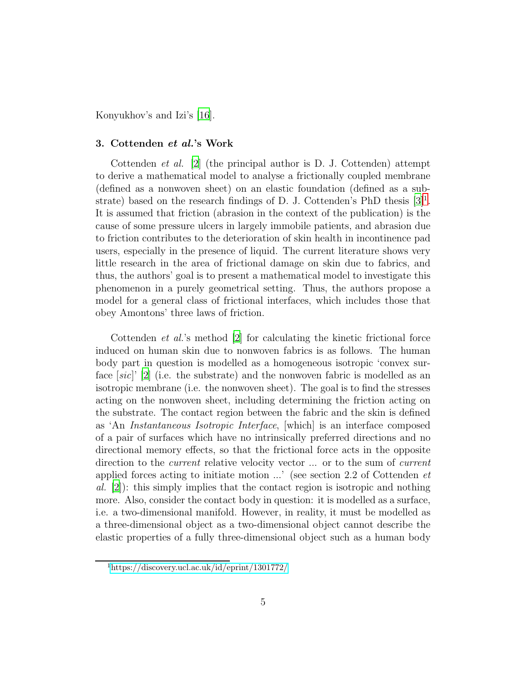Konyukhov's and Izi's [\[16\]](#page-24-10).

#### 3. Cottenden et al.'s Work

Cottenden *et al.* [\[2](#page-23-1)] (the principal author is D. J. Cottenden) attempt to derive a mathematical model to analyse a frictionally coupled membrane (defined as a nonwoven sheet) on an elastic foundation (defined as a substrate) based on the research findings of D. J. Cottenden's PhD thesis  $[3]^1$  $[3]^1$ . It is assumed that friction (abrasion in the context of the publication) is the cause of some pressure ulcers in largely immobile patients, and abrasion due to friction contributes to the deterioration of skin health in incontinence pad users, especially in the presence of liquid. The current literature shows very little research in the area of frictional damage on skin due to fabrics, and thus, the authors' goal is to present a mathematical model to investigate this phenomenon in a purely geometrical setting. Thus, the authors propose a model for a general class of frictional interfaces, which includes those that obey Amontons' three laws of friction.

Cottenden *et al.*'s method [\[2](#page-23-1)] for calculating the kinetic frictional force induced on human skin due to nonwoven fabrics is as follows. The human body part in question is modelled as a homogeneous isotropic 'convex surface [*sic*]' [\[2](#page-23-1)] (i.e. the substrate) and the nonwoven fabric is modelled as an isotropic membrane (i.e. the nonwoven sheet). The goal is to find the stresses acting on the nonwoven sheet, including determining the friction acting on the substrate. The contact region between the fabric and the skin is defined as 'An *Instantaneous Isotropic Interface*, [which] is an interface composed of a pair of surfaces which have no intrinsically preferred directions and no directional memory effects, so that the frictional force acts in the opposite direction to the *current* relative velocity vector ... or to the sum of *current* applied forces acting to initiate motion ...' (see section 2.2 of Cottenden *et al.* [\[2](#page-23-1)]): this simply implies that the contact region is isotropic and nothing more. Also, consider the contact body in question: it is modelled as a surface, i.e. a two-dimensional manifold. However, in reality, it must be modelled as a three-dimensional object as a two-dimensional object cannot describe the elastic properties of a fully three-dimensional object such as a human body

<span id="page-4-0"></span><sup>1</sup><https://discovery.ucl.ac.uk/id/eprint/1301772/>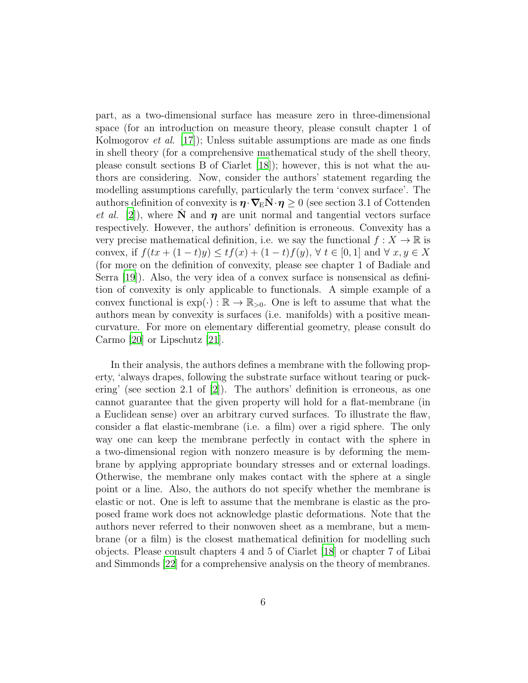part, as a two-dimensional surface has measure zero in three-dimensional space (for an introduction on measure theory, please consult chapter 1 of Kolmogorov *et al.* [\[17](#page-25-0)]); Unless suitable assumptions are made as one finds in shell theory (for a comprehensive mathematical study of the shell theory, please consult sections B of Ciarlet [\[18\]](#page-25-1)); however, this is not what the authors are considering. Now, consider the authors' statement regarding the modelling assumptions carefully, particularly the term 'convex surface'. The authors definition of convexity is  $\eta \cdot \nabla_{\mathbf{E}} \mathbf{N} \cdot \eta \geq 0$  (see section 3.1 of Cottenden *et al.* [\[2\]](#page-23-1)), where  $\tilde{N}$  and  $\eta$  are unit normal and tangential vectors surface respectively. However, the authors' definition is erroneous. Convexity has a very precise mathematical definition, i.e. we say the functional  $f: X \to \mathbb{R}$  is convex, if  $f(tx + (1-t)y) \le tf(x) + (1-t)f(y)$ ,  $\forall t \in [0,1]$  and  $\forall x, y \in X$ (for more on the definition of convexity, please see chapter 1 of Badiale and Serra [\[19\]](#page-25-2)). Also, the very idea of a convex surface is nonsensical as definition of convexity is only applicable to functionals. A simple example of a convex functional is  $\exp(\cdot): \mathbb{R} \to \mathbb{R}_{>0}$ . One is left to assume that what the authors mean by convexity is surfaces (i.e. manifolds) with a positive meancurvature. For more on elementary differential geometry, please consult do Carmo [\[20](#page-25-3)] or Lipschutz [\[21\]](#page-25-4).

In their analysis, the authors defines a membrane with the following property, 'always drapes, following the substrate surface without tearing or puckering' (see section 2.1 of [\[2](#page-23-1)]). The authors' definition is erroneous, as one cannot guarantee that the given property will hold for a flat-membrane (in a Euclidean sense) over an arbitrary curved surfaces. To illustrate the flaw, consider a flat elastic-membrane (i.e. a film) over a rigid sphere. The only way one can keep the membrane perfectly in contact with the sphere in a two-dimensional region with nonzero measure is by deforming the membrane by applying appropriate boundary stresses and or external loadings. Otherwise, the membrane only makes contact with the sphere at a single point or a line. Also, the authors do not specify whether the membrane is elastic or not. One is left to assume that the membrane is elastic as the proposed frame work does not acknowledge plastic deformations. Note that the authors never referred to their nonwoven sheet as a membrane, but a membrane (or a film) is the closest mathematical definition for modelling such objects. Please consult chapters 4 and 5 of Ciarlet [\[18](#page-25-1)] or chapter 7 of Libai and Simmonds [\[22](#page-25-5)] for a comprehensive analysis on the theory of membranes.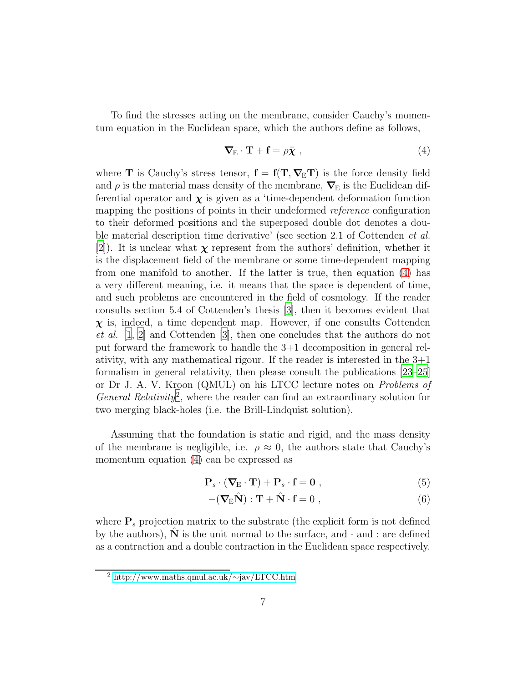To find the stresses acting on the membrane, consider Cauchy's momentum equation in the Euclidean space, which the authors define as follows,

<span id="page-6-0"></span>
$$
\nabla_{\mathbf{E}} \cdot \mathbf{T} + \mathbf{f} = \rho \ddot{\mathbf{\chi}} \tag{4}
$$

where **T** is Cauchy's stress tensor,  $f = f(T, \nabla_E T)$  is the force density field and  $\rho$  is the material mass density of the membrane,  $\nabla$ <sub>E</sub> is the Euclidean differential operator and  $\chi$  is given as a 'time-dependent deformation function mapping the positions of points in their undeformed *reference* configuration to their deformed positions and the superposed double dot denotes a double material description time derivative' (see section 2.1 of Cottenden *et al.* [\[2\]](#page-23-1)). It is unclear what  $\chi$  represent from the authors' definition, whether it is the displacement field of the membrane or some time-dependent mapping from one manifold to another. If the latter is true, then equation [\(4\)](#page-6-0) has a very different meaning, i.e. it means that the space is dependent of time, and such problems are encountered in the field of cosmology. If the reader consults section 5.4 of Cottenden's thesis [\[3](#page-23-2)], then it becomes evident that  $\chi$  is, indeed, a time dependent map. However, if one consults Cottenden *et al.* [\[1,](#page-23-0) [2](#page-23-1)] and Cottenden [\[3\]](#page-23-2), then one concludes that the authors do not put forward the framework to handle the 3+1 decomposition in general relativity, with any mathematical rigour. If the reader is interested in the  $3+1$ formalism in general relativity, then please consult the publications [\[23](#page-25-6)[–25](#page-25-7)] or Dr J. A. V. Kroon (QMUL) on his LTCC lecture notes on *Problems of General Relativity*[2](#page-6-1) , where the reader can find an extraordinary solution for two merging black-holes (i.e. the Brill-Lindquist solution).

Assuming that the foundation is static and rigid, and the mass density of the membrane is negligible, i.e.  $\rho \approx 0$ , the authors state that Cauchy's momentum equation [\(4\)](#page-6-0) can be expressed as

$$
\mathbf{P}_s \cdot (\mathbf{\nabla}_{\mathbf{E}} \cdot \mathbf{T}) + \mathbf{P}_s \cdot \mathbf{f} = \mathbf{0} \;, \tag{5}
$$

<span id="page-6-3"></span><span id="page-6-2"></span>
$$
-(\nabla_{\mathbf{E}}\hat{\mathbf{N}}):\mathbf{T}+\hat{\mathbf{N}}\cdot\mathbf{f}=0\;, \tag{6}
$$

where  $P_s$  projection matrix to the substrate (the explicit form is not defined by the authors),  $N$  is the unit normal to the surface, and  $\cdot$  and : are defined as a contraction and a double contraction in the Euclidean space respectively.

<span id="page-6-1"></span><sup>2</sup> [http://www.maths.qmul.ac.uk/](http://www.maths.qmul.ac.uk/~jav/LTCC.htm)∼jav/LTCC.htm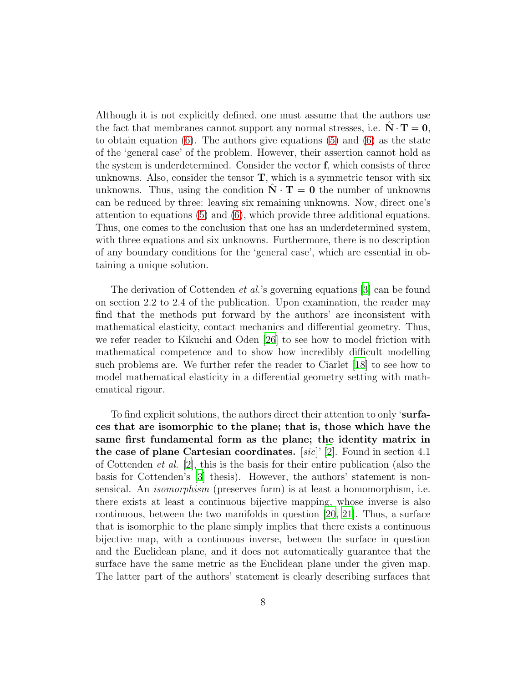Although it is not explicitly defined, one must assume that the authors use the fact that membranes cannot support any normal stresses, i.e.  $N \cdot T = 0$ , to obtain equation  $(6)$ . The authors give equations  $(5)$  and  $(6)$  as the state of the 'general case' of the problem. However, their assertion cannot hold as the system is underdetermined. Consider the vector f, which consists of three unknowns. Also, consider the tensor  $\mathbf{T}$ , which is a symmetric tensor with six unknowns. Thus, using the condition  $N \cdot T = 0$  the number of unknowns can be reduced by three: leaving six remaining unknowns. Now, direct one's attention to equations [\(5\)](#page-6-3) and [\(6\)](#page-6-2), which provide three additional equations. Thus, one comes to the conclusion that one has an underdetermined system, with three equations and six unknowns. Furthermore, there is no description of any boundary conditions for the 'general case', which are essential in obtaining a unique solution.

The derivation of Cottenden *et al.*'s governing equations [\[3](#page-23-2)] can be found on section 2.2 to 2.4 of the publication. Upon examination, the reader may find that the methods put forward by the authors' are inconsistent with mathematical elasticity, contact mechanics and differential geometry. Thus, we refer reader to Kikuchi and Oden [\[26\]](#page-25-8) to see how to model friction with mathematical competence and to show how incredibly difficult modelling such problems are. We further refer the reader to Ciarlet [\[18\]](#page-25-1) to see how to model mathematical elasticity in a differential geometry setting with mathematical rigour.

To find explicit solutions, the authors direct their attention to only 'surfaces that are isomorphic to the plane; that is, those which have the same first fundamental form as the plane; the identity matrix in the case of plane Cartesian coordinates. [*sic*]' [\[2](#page-23-1)]. Found in section 4.1 of Cottenden *et al.* [\[2\]](#page-23-1), this is the basis for their entire publication (also the basis for Cottenden's [\[3](#page-23-2)] thesis). However, the authors' statement is nonsensical. An *isomorphism* (preserves form) is at least a homomorphism, i.e. there exists at least a continuous bijective mapping, whose inverse is also continuous, between the two manifolds in question [\[20,](#page-25-3) [21\]](#page-25-4). Thus, a surface that is isomorphic to the plane simply implies that there exists a continuous bijective map, with a continuous inverse, between the surface in question and the Euclidean plane, and it does not automatically guarantee that the surface have the same metric as the Euclidean plane under the given map. The latter part of the authors' statement is clearly describing surfaces that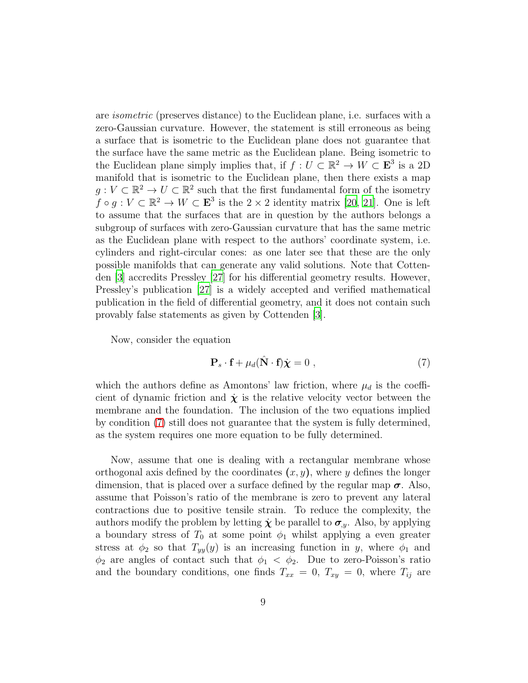are *isometric* (preserves distance) to the Euclidean plane, i.e. surfaces with a zero-Gaussian curvature. However, the statement is still erroneous as being a surface that is isometric to the Euclidean plane does not guarantee that the surface have the same metric as the Euclidean plane. Being isometric to the Euclidean plane simply implies that, if  $f: U \subset \mathbb{R}^2 \to W \subset \mathbf{E}^3$  is a 2D manifold that is isometric to the Euclidean plane, then there exists a map  $g: V \subset \mathbb{R}^2 \to U \subset \mathbb{R}^2$  such that the first fundamental form of the isometry  $f \circ g : V \subset \mathbb{R}^2 \to W \subset \mathbf{E}^3$  is the  $2 \times 2$  identity matrix [\[20,](#page-25-3) [21](#page-25-4)]. One is left to assume that the surfaces that are in question by the authors belongs a subgroup of surfaces with zero-Gaussian curvature that has the same metric as the Euclidean plane with respect to the authors' coordinate system, i.e. cylinders and right-circular cones: as one later see that these are the only possible manifolds that can generate any valid solutions. Note that Cottenden [\[3](#page-23-2)] accredits Pressley [\[27](#page-25-9)] for his differential geometry results. However, Pressley's publication [\[27\]](#page-25-9) is a widely accepted and verified mathematical publication in the field of differential geometry, and it does not contain such provably false statements as given by Cottenden [\[3\]](#page-23-2).

Now, consider the equation

<span id="page-8-0"></span>
$$
\mathbf{P}_s \cdot \mathbf{f} + \mu_d (\hat{\mathbf{N}} \cdot \mathbf{f}) \dot{\mathbf{\chi}} = 0 , \qquad (7)
$$

which the authors define as Amontons' law friction, where  $\mu_d$  is the coefficient of dynamic friction and  $\dot{\chi}$  is the relative velocity vector between the membrane and the foundation. The inclusion of the two equations implied by condition [\(7\)](#page-8-0) still does not guarantee that the system is fully determined, as the system requires one more equation to be fully determined.

Now, assume that one is dealing with a rectangular membrane whose orthogonal axis defined by the coordinates  $(x, y)$ , where y defines the longer dimension, that is placed over a surface defined by the regular map  $\sigma$ . Also, assume that Poisson's ratio of the membrane is zero to prevent any lateral contractions due to positive tensile strain. To reduce the complexity, the authors modify the problem by letting  $\dot{\chi}$  be parallel to  $\sigma_{y}$ . Also, by applying a boundary stress of  $T_0$  at some point  $\phi_1$  whilst applying a even greater stress at  $\phi_2$  so that  $T_{yy}(y)$  is an increasing function in y, where  $\phi_1$  and  $\phi_2$  are angles of contact such that  $\phi_1 < \phi_2$ . Due to zero-Poisson's ratio and the boundary conditions, one finds  $T_{xx} = 0$ ,  $T_{xy} = 0$ , where  $T_{ij}$  are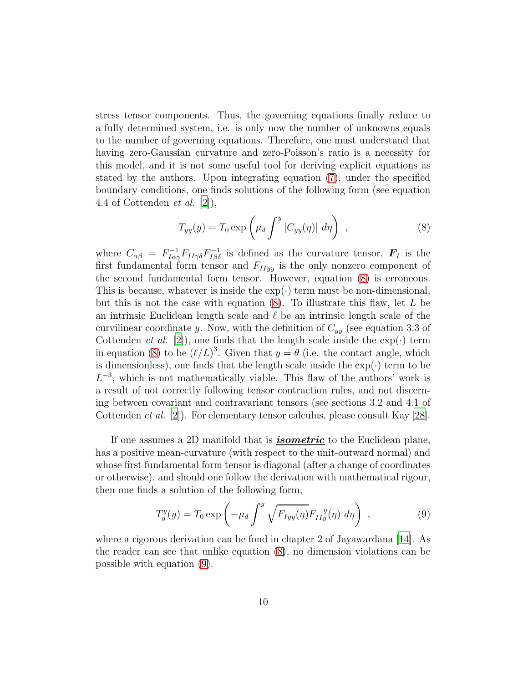stress tensor components. Thus, the governing equations finally reduce to a fully determined system, i.e. is only now the number of unknowns equals to the number of governing equations. Therefore, one must understand that having zero-Gaussian curvature and zero-Poisson's ratio is a necessity for this model, and it is not some useful tool for deriving explicit equations as stated by the authors. Upon integrating equation [\(7\)](#page-8-0), under the specified boundary conditions, one finds solutions of the following form (see equation 4.4 of Cottenden *et al.* [\[2\]](#page-23-1)),

<span id="page-9-0"></span>
$$
T_{yy}(y) = T_0 \exp\left(\mu_d \int^y |C_{yy}(\eta)| d\eta\right) , \qquad (8)
$$

where  $C_{\alpha\beta} = F_{I\alpha\gamma}^{-1}F_{II\gamma\delta}F_{I\beta\delta}^{-1}$  is defined as the curvature tensor,  $\bm{F}_I$  is the first fundamental form tensor and  $F_{I I y y}$  is the only nonzero component of the second fundamental form tensor. However, equation [\(8\)](#page-9-0) is erroneous. This is because, whatever is inside the  $\exp(\cdot)$  term must be non-dimensional, but this is not the case with equation  $(8)$ . To illustrate this flaw, let L be an intrinsic Euclidean length scale and  $\ell$  be an intrinsic length scale of the curvilinear coordinate y. Now, with the definition of  $C_{yy}$  (see equation 3.3 of Cottenden *et al.* [\[2](#page-23-1)]), one finds that the length scale inside the  $\exp(\cdot)$  term in equation [\(8\)](#page-9-0) to be  $(\ell/L)^3$ . Given that  $y = \theta$  (i.e. the contact angle, which is dimensionless), one finds that the length scale inside the  $\exp(\cdot)$  term to be  $L^{-3}$ , which is not mathematically viable. This flaw of the authors' work is a result of not correctly following tensor contraction rules, and not discerning between covariant and contravariant tensors (see sections 3.2 and 4.1 of Cottenden *et al.* [\[2](#page-23-1)]). For elementary tensor calculus, please consult Kay [\[28\]](#page-25-10).

If one assumes a 2D manifold that is **isometric** to the Euclidean plane, has a positive mean-curvature (with respect to the unit-outward normal) and whose first fundamental form tensor is diagonal (after a change of coordinates or otherwise), and should one follow the derivation with mathematical rigour, then one finds a solution of the following form,

<span id="page-9-1"></span>
$$
T_y^y(y) = T_0 \exp\left(-\mu_d \int^y \sqrt{F_{Iyy}(\eta)} F_{IIy}^y(\eta) d\eta\right) , \qquad (9)
$$

where a rigorous derivation can be fond in chapter 2 of Jayawardana [\[14\]](#page-24-8). As the reader can see that unlike equation [\(8\)](#page-9-0), no dimension violations can be possible with equation [\(9\)](#page-9-1).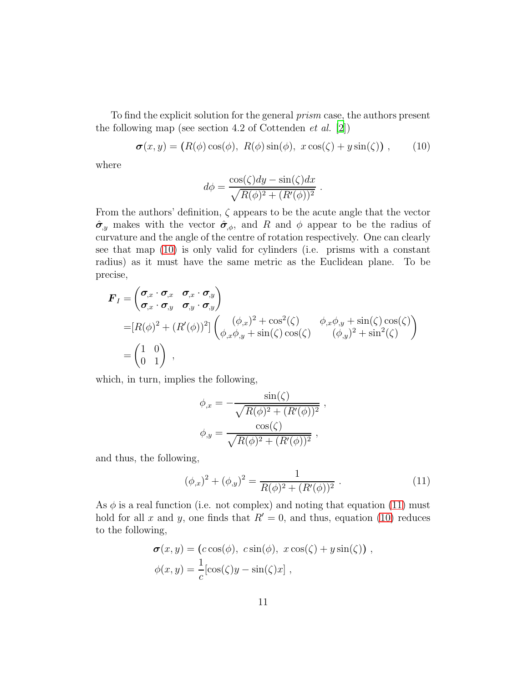To find the explicit solution for the general *prism* case, the authors present the following map (see section 4.2 of Cottenden *et al.* [\[2\]](#page-23-1))

$$
\boldsymbol{\sigma}(x,y) = (R(\phi)\cos(\phi), R(\phi)\sin(\phi), x\cos(\zeta) + y\sin(\zeta)), \qquad (10)
$$

where

<span id="page-10-0"></span>
$$
d\phi = \frac{\cos(\zeta)dy - \sin(\zeta)dx}{\sqrt{R(\phi)^2 + (R'(\phi))^2}}.
$$

From the authors' definition,  $\zeta$  appears to be the acute angle that the vector  $\hat{\sigma}_{y}$  makes with the vector  $\hat{\sigma}_{\phi}$ , and R and  $\phi$  appear to be the radius of curvature and the angle of the centre of rotation respectively. One can clearly see that map [\(10\)](#page-10-0) is only valid for cylinders (i.e. prisms with a constant radius) as it must have the same metric as the Euclidean plane. To be precise,

$$
\mathbf{F}_I = \begin{pmatrix} \sigma_{,x} \cdot \sigma_{,x} & \sigma_{,x} \cdot \sigma_{,y} \\ \sigma_{,x} \cdot \sigma_{,y} & \sigma_{,y} \cdot \sigma_{,y} \end{pmatrix}
$$
  
=  $[R(\phi)^2 + (R'(\phi))^2] \begin{pmatrix} (\phi_{,x})^2 + \cos^2(\zeta) & \phi_{,x}\phi_{,y} + \sin(\zeta)\cos(\zeta) \\ \phi_{,x}\phi_{,y} + \sin(\zeta)\cos(\zeta) & (\phi_{,y})^2 + \sin^2(\zeta) \end{pmatrix}$   
=  $\begin{pmatrix} 1 & 0 \\ 0 & 1 \end{pmatrix}$ ,

which, in turn, implies the following,

$$
\phi_{,x} = -\frac{\sin(\zeta)}{\sqrt{R(\phi)^2 + (R'(\phi))^2}}
$$

$$
\phi_{,y} = \frac{\cos(\zeta)}{\sqrt{R(\phi)^2 + (R'(\phi))^2}},
$$

and thus, the following,

$$
(\phi_{,x})^2 + (\phi_{,y})^2 = \frac{1}{R(\phi)^2 + (R'(\phi))^2} \,. \tag{11}
$$

<span id="page-10-1"></span>,

As  $\phi$  is a real function (i.e. not complex) and noting that equation [\(11\)](#page-10-1) must hold for all x and y, one finds that  $R' = 0$ , and thus, equation [\(10\)](#page-10-0) reduces to the following,

$$
\sigma(x, y) = (c \cos(\phi), c \sin(\phi), x \cos(\zeta) + y \sin(\zeta)),
$$
  

$$
\phi(x, y) = \frac{1}{c} [\cos(\zeta)y - \sin(\zeta)x],
$$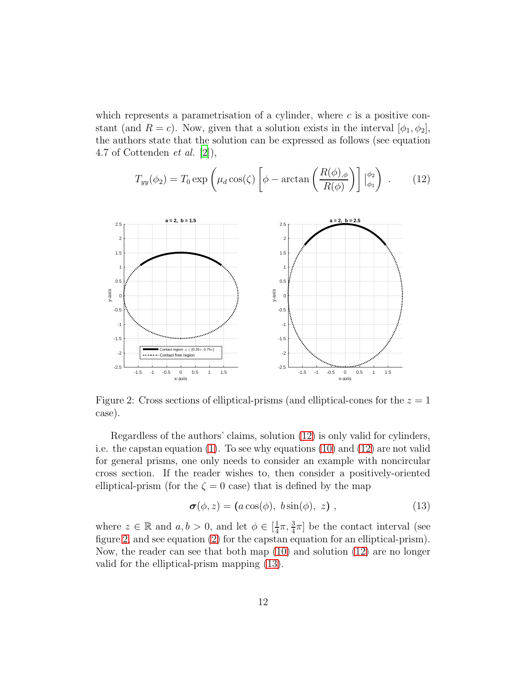which represents a parametrisation of a cylinder, where  $c$  is a positive constant (and  $R = c$ ). Now, given that a solution exists in the interval  $[\phi_1, \phi_2]$ , the authors state that the solution can be expressed as follows (see equation 4.7 of Cottenden *et al.* [\[2\]](#page-23-1)),

<span id="page-11-0"></span>
$$
T_{yy}(\phi_2) = T_0 \exp\left(\mu_d \cos(\zeta) \left[\phi - \arctan\left(\frac{R(\phi)_{,\phi}}{R(\phi)}\right)\right] \Big|_{\phi_1}^{\phi_2}\right) \,. \tag{12}
$$

<span id="page-11-1"></span>

Figure 2: Cross sections of elliptical-prisms (and elliptical-cones for the  $z = 1$ case).

Regardless of the authors' claims, solution [\(12\)](#page-11-0) is only valid for cylinders, i.e. the capstan equation [\(1\)](#page-1-0). To see why equations [\(10\)](#page-10-0) and [\(12\)](#page-11-0) are not valid for general prisms, one only needs to consider an example with noncircular cross section. If the reader wishes to, then consider a positively-oriented elliptical-prism (for the  $\zeta = 0$  case) that is defined by the map

<span id="page-11-2"></span>
$$
\boldsymbol{\sigma}(\phi, z) = (a \cos(\phi), \ b \sin(\phi), \ z) \tag{13}
$$

where  $z \in \mathbb{R}$  and  $a, b > 0$ , and let  $\phi \in \left[\frac{1}{4}\right]$  $\frac{1}{4}\pi, \frac{3}{4}\pi$ ] be the contact interval (see figure [2,](#page-11-1) and see equation [\(2\)](#page-2-0) for the capstan equation for an elliptical-prism). Now, the reader can see that both map [\(10\)](#page-10-0) and solution [\(12\)](#page-11-0) are no longer valid for the elliptical-prism mapping [\(13\)](#page-11-2).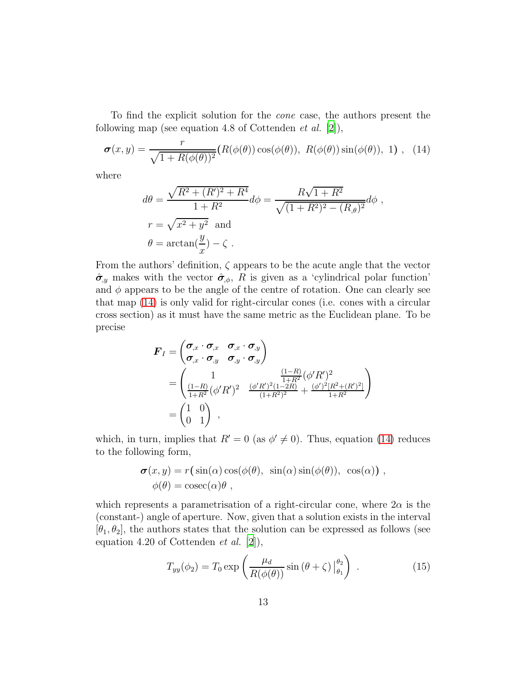To find the explicit solution for the *cone* case, the authors present the following map (see equation 4.8 of Cottenden *et al.* [\[2](#page-23-1)]),

$$
\boldsymbol{\sigma}(x,y) = \frac{r}{\sqrt{1 + R(\phi(\theta))^2}} (R(\phi(\theta)) \cos(\phi(\theta)), R(\phi(\theta)) \sin(\phi(\theta)), 1), (14)
$$

where

<span id="page-12-0"></span>
$$
d\theta = \frac{\sqrt{R^2 + (R')^2 + R^4}}{1 + R^2} d\phi = \frac{R\sqrt{1 + R^2}}{\sqrt{(1 + R^2)^2 - (R_{,\theta})^2}} d\phi,
$$
  

$$
r = \sqrt{x^2 + y^2} \text{ and}
$$
  

$$
\theta = \arctan(\frac{y}{x}) - \zeta.
$$

From the authors' definition,  $\zeta$  appears to be the acute angle that the vector  $\hat{\sigma}_{y}$  makes with the vector  $\hat{\sigma}_{\phi}$ , R is given as a 'cylindrical polar function' and  $\phi$  appears to be the angle of the centre of rotation. One can clearly see that map [\(14\)](#page-12-0) is only valid for right-circular cones (i.e. cones with a circular cross section) as it must have the same metric as the Euclidean plane. To be precise

$$
\mathbf{F}_I = \begin{pmatrix} \sigma_{,x} \cdot \sigma_{,x} & \sigma_{,x} \cdot \sigma_{,y} \\ \sigma_{,x} \cdot \sigma_{,y} & \sigma_{,y} \cdot \sigma_{,y} \end{pmatrix}
$$
\n
$$
= \begin{pmatrix} 1 & \frac{(1-R)}{1+R^2} (\phi'R')^2 \\ \frac{(1-R)}{1+R^2} (\phi'R')^2 & \frac{(\phi'R')^2(1-2R)}{(1+R^2)^2} + \frac{(\phi')^2[R^2+(R')^2]}{1+R^2} \end{pmatrix}
$$
\n
$$
= \begin{pmatrix} 1 & 0 \\ 0 & 1 \end{pmatrix} ,
$$

which, in turn, implies that  $R' = 0$  (as  $\phi' \neq 0$ ). Thus, equation [\(14\)](#page-12-0) reduces to the following form,

$$
\sigma(x, y) = r(\sin(\alpha)\cos(\phi(\theta)), \sin(\alpha)\sin(\phi(\theta)), \cos(\alpha)),
$$
  

$$
\phi(\theta) = \csc(\alpha)\theta,
$$

which represents a parametrisation of a right-circular cone, where  $2\alpha$  is the (constant-) angle of aperture. Now, given that a solution exists in the interval  $[\theta_1, \theta_2]$ , the authors states that the solution can be expressed as follows (see equation 4.20 of Cottenden *et al.* [\[2](#page-23-1)]),

<span id="page-12-1"></span>
$$
T_{yy}(\phi_2) = T_0 \exp\left(\frac{\mu_d}{R(\phi(\theta))}\sin\left(\theta + \zeta\right)\Big|_{\theta_1}^{\theta_2}\right) \,. \tag{15}
$$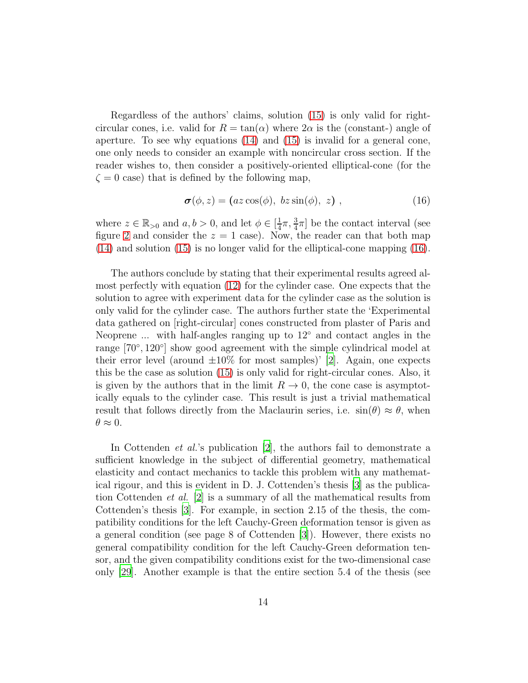Regardless of the authors' claims, solution [\(15\)](#page-12-1) is only valid for rightcircular cones, i.e. valid for  $R = \tan(\alpha)$  where  $2\alpha$  is the (constant-) angle of aperture. To see why equations [\(14\)](#page-12-0) and [\(15\)](#page-12-1) is invalid for a general cone, one only needs to consider an example with noncircular cross section. If the reader wishes to, then consider a positively-oriented elliptical-cone (for the  $\zeta = 0$  case) that is defined by the following map,

<span id="page-13-0"></span>
$$
\boldsymbol{\sigma}(\phi, z) = (az \cos(\phi), \ bz \sin(\phi), \ z) \ , \tag{16}
$$

where  $z \in \mathbb{R}_{>0}$  and  $a, b > 0$ , and let  $\phi \in \left[\frac{1}{4}\right]$  $\frac{1}{4}\pi, \frac{3}{4}\pi$  be the contact interval (see figure [2](#page-11-1) and consider the  $z = 1$  case). Now, the reader can that both map [\(14\)](#page-12-0) and solution [\(15\)](#page-12-1) is no longer valid for the elliptical-cone mapping [\(16\)](#page-13-0).

The authors conclude by stating that their experimental results agreed almost perfectly with equation [\(12\)](#page-11-0) for the cylinder case. One expects that the solution to agree with experiment data for the cylinder case as the solution is only valid for the cylinder case. The authors further state the 'Experimental data gathered on [right-circular] cones constructed from plaster of Paris and Neoprene ... with half-angles ranging up to 12◦ and contact angles in the range [70°, 120°] show good agreement with the simple cylindrical model at their error level (around  $\pm 10\%$  for most samples)' [\[2\]](#page-23-1). Again, one expects this be the case as solution [\(15\)](#page-12-1) is only valid for right-circular cones. Also, it is given by the authors that in the limit  $R \to 0$ , the cone case is asymptotically equals to the cylinder case. This result is just a trivial mathematical result that follows directly from the Maclaurin series, i.e.  $\sin(\theta) \approx \theta$ , when  $\theta \approx 0.$ 

In Cottenden *et al.*'s publication [\[2](#page-23-1)], the authors fail to demonstrate a sufficient knowledge in the subject of differential geometry, mathematical elasticity and contact mechanics to tackle this problem with any mathematical rigour, and this is evident in D. J. Cottenden's thesis [\[3\]](#page-23-2) as the publication Cottenden *et al.* [\[2\]](#page-23-1) is a summary of all the mathematical results from Cottenden's thesis [\[3\]](#page-23-2). For example, in section 2.15 of the thesis, the compatibility conditions for the left Cauchy-Green deformation tensor is given as a general condition (see page 8 of Cottenden [\[3\]](#page-23-2)). However, there exists no general compatibility condition for the left Cauchy-Green deformation tensor, and the given compatibility conditions exist for the two-dimensional case only [\[29](#page-26-0)]. Another example is that the entire section 5.4 of the thesis (see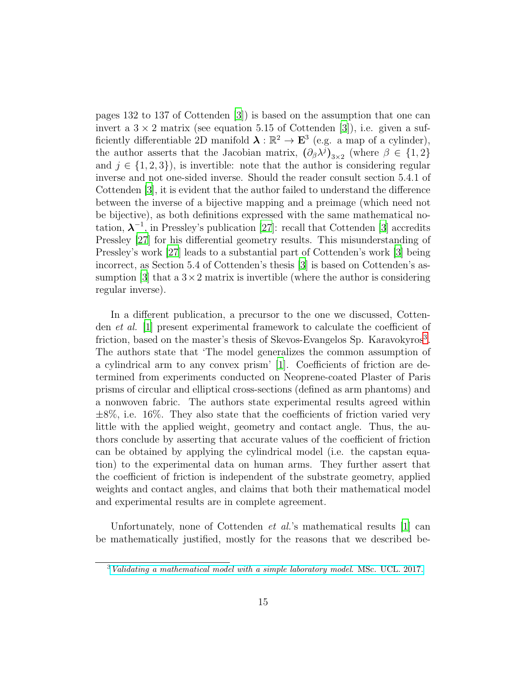pages 132 to 137 of Cottenden [\[3](#page-23-2)]) is based on the assumption that one can invert a  $3 \times 2$  matrix (see equation 5.15 of Cottenden [\[3\]](#page-23-2)), i.e. given a sufficiently differentiable 2D manifold  $\lambda : \mathbb{R}^2 \to \mathbf{E}^3$  (e.g. a map of a cylinder), the author asserts that the Jacobian matrix,  $(\partial_{\beta} \lambda^{j})_{3\times 2}$  (where  $\beta \in \{1,2\}$ ) and  $j \in \{1,2,3\}$ , is invertible: note that the author is considering regular inverse and not one-sided inverse. Should the reader consult section 5.4.1 of Cottenden [\[3](#page-23-2)], it is evident that the author failed to understand the difference between the inverse of a bijective mapping and a preimage (which need not be bijective), as both definitions expressed with the same mathematical notation,  $\lambda^{-1}$ , in Pressley's publication [\[27](#page-25-9)]: recall that Cottenden [\[3\]](#page-23-2) accredits Pressley [\[27\]](#page-25-9) for his differential geometry results. This misunderstanding of Pressley's work [\[27](#page-25-9)] leads to a substantial part of Cottenden's work [\[3](#page-23-2)] being incorrect, as Section 5.4 of Cottenden's thesis [\[3](#page-23-2)] is based on Cottenden's as-sumption [\[3\]](#page-23-2) that a  $3 \times 2$  matrix is invertible (where the author is considering regular inverse).

In a different publication, a precursor to the one we discussed, Cottenden *et al.* [\[1\]](#page-23-0) present experimental framework to calculate the coefficient of friction, based on the master's thesis of Skevos-Evangelos Sp. Karavokyros<sup>[3](#page-14-0)</sup>. The authors state that 'The model generalizes the common assumption of a cylindrical arm to any convex prism' [\[1\]](#page-23-0). Coefficients of friction are determined from experiments conducted on Neoprene-coated Plaster of Paris prisms of circular and elliptical cross-sections (defined as arm phantoms) and a nonwoven fabric. The authors state experimental results agreed within  $\pm 8\%$ , i.e. 16%. They also state that the coefficients of friction varied very little with the applied weight, geometry and contact angle. Thus, the authors conclude by asserting that accurate values of the coefficient of friction can be obtained by applying the cylindrical model (i.e. the capstan equation) to the experimental data on human arms. They further assert that the coefficient of friction is independent of the substrate geometry, applied weights and contact angles, and claims that both their mathematical model and experimental results are in complete agreement.

Unfortunately, none of Cottenden *et al.*'s mathematical results [\[1](#page-23-0)] can be mathematically justified, mostly for the reasons that we described be-

<span id="page-14-0"></span> $3$  [Validating a mathematical model with a simple laboratory model](https://liveuclac-my.sharepoint.com/:b:/g/personal/zcahe58_ucl_ac_uk/EQ_ktlQ5uhBGsZEOeY797SwBb02EPRbiyVUdVN6_T_tupg). MSc. UCL. 2017.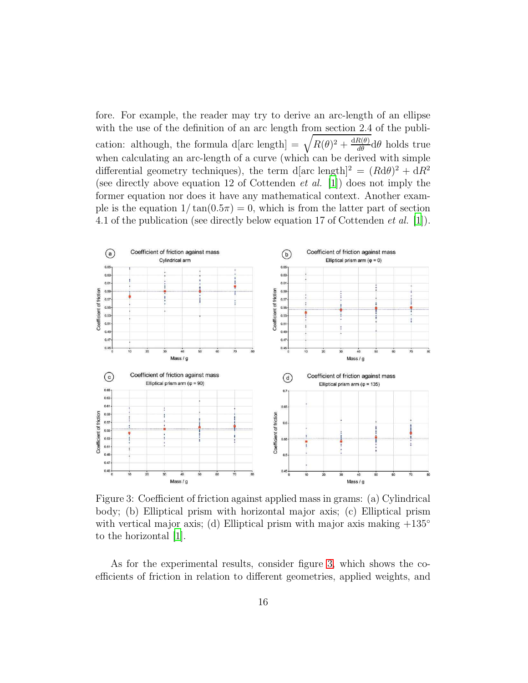fore. For example, the reader may try to derive an arc-length of an ellipse with the use of the definition of an arc length from section 2.4 of the publication: although, the formula d[arc length]  $= \sqrt{R(\theta)^2 + \frac{dR(\theta)}{d\theta}} d\theta$  holds true when calculating an arc-length of a curve (which can be derived with simple differential geometry techniques), the term d[arc length]<sup>2</sup> =  $(Rd\theta)^2 + dR^2$ (see directly above equation 12 of Cottenden *et al.* [\[1\]](#page-23-0)) does not imply the former equation nor does it have any mathematical context. Another example is the equation  $1/\tan(0.5\pi) = 0$ , which is from the latter part of section 4.1 of the publication (see directly below equation 17 of Cottenden *et al.* [\[1](#page-23-0)]).

<span id="page-15-0"></span>

Figure 3: Coefficient of friction against applied mass in grams: (a) Cylindrical body; (b) Elliptical prism with horizontal major axis; (c) Elliptical prism with vertical major axis; (d) Elliptical prism with major axis making  $+135^{\circ}$ to the horizontal [\[1](#page-23-0)].

As for the experimental results, consider figure [3,](#page-15-0) which shows the coefficients of friction in relation to different geometries, applied weights, and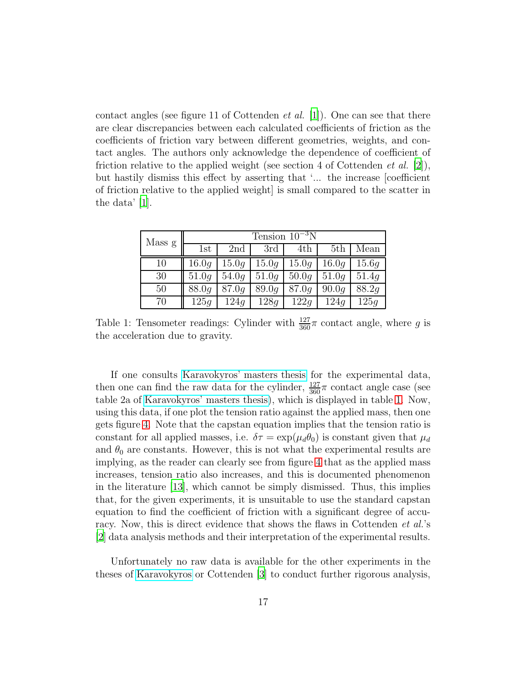contact angles (see figure 11 of Cottenden *et al.* [\[1\]](#page-23-0)). One can see that there are clear discrepancies between each calculated coefficients of friction as the coefficients of friction vary between different geometries, weights, and contact angles. The authors only acknowledge the dependence of coefficient of friction relative to the applied weight (see section 4 of Cottenden *et al.* [\[2](#page-23-1)]), but hastily dismiss this effect by asserting that '... the increase [coefficient of friction relative to the applied weight] is small compared to the scatter in the data' [\[1](#page-23-0)].

<span id="page-16-0"></span>

| Mass g | Tension $10^{-3}$ N |       |       |                    |       |       |  |
|--------|---------------------|-------|-------|--------------------|-------|-------|--|
|        | 1st                 | 2nd   | 3rd   | 4th                | 5th   | Mean  |  |
| 10     | 16.0q               | 15.0q |       | $15.0q \mid 15.0q$ | 16.0q | 15.6q |  |
| 30     | 51.0q               | 54.0q | 51.0q | 50.0q              | 51.0q | 51.4q |  |
| 50     | 88.0q               | 87.0q | 89.0q | 87.0q              | 90.0q | 88.2q |  |
| 70     | 125q                | 124q  | 128q  | 122g               | 124q  | 125q  |  |

Table 1: Tensometer readings: Cylinder with  $\frac{127}{360}\pi$  contact angle, where g is the acceleration due to gravity.

If one consults [Karavokyros' masters thesis](https://liveuclac-my.sharepoint.com/:b:/g/personal/zcahe58_ucl_ac_uk/EQ_ktlQ5uhBGsZEOeY797SwBb02EPRbiyVUdVN6_T_tupg) for the experimental data, then one can find the raw data for the cylinder,  $\frac{127}{360}\pi$  contact angle case (see table 2a of [Karavokyros' masters thesis\)](https://liveuclac-my.sharepoint.com/:b:/g/personal/zcahe58_ucl_ac_uk/EQ_ktlQ5uhBGsZEOeY797SwBb02EPRbiyVUdVN6_T_tupg), which is displayed in table [1.](#page-16-0) Now, using this data, if one plot the tension ratio against the applied mass, then one gets figure [4.](#page-17-0) Note that the capstan equation implies that the tension ratio is constant for all applied masses, i.e.  $\delta \tau = \exp(\mu_d \theta_0)$  is constant given that  $\mu_d$ and  $\theta_0$  are constants. However, this is not what the experimental results are implying, as the reader can clearly see from figure [4](#page-17-0) that as the applied mass increases, tension ratio also increases, and this is documented phenomenon in the literature [\[13](#page-24-7)], which cannot be simply dismissed. Thus, this implies that, for the given experiments, it is unsuitable to use the standard capstan equation to find the coefficient of friction with a significant degree of accuracy. Now, this is direct evidence that shows the flaws in Cottenden *et al.*'s [\[2\]](#page-23-1) data analysis methods and their interpretation of the experimental results.

Unfortunately no raw data is available for the other experiments in the theses of [Karavokyros](https://liveuclac-my.sharepoint.com/:b:/g/personal/zcahe58_ucl_ac_uk/EQ_ktlQ5uhBGsZEOeY797SwBb02EPRbiyVUdVN6_T_tupg) or Cottenden [\[3\]](#page-23-2) to conduct further rigorous analysis,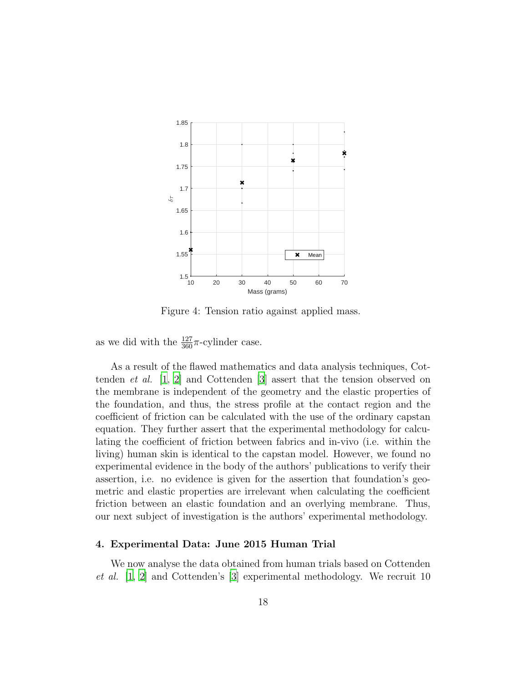<span id="page-17-0"></span>

Figure 4: Tension ratio against applied mass.

as we did with the  $\frac{127}{360}\pi$ -cylinder case.

As a result of the flawed mathematics and data analysis techniques, Cottenden *et al.* [\[1](#page-23-0), [2\]](#page-23-1) and Cottenden [\[3\]](#page-23-2) assert that the tension observed on the membrane is independent of the geometry and the elastic properties of the foundation, and thus, the stress profile at the contact region and the coefficient of friction can be calculated with the use of the ordinary capstan equation. They further assert that the experimental methodology for calculating the coefficient of friction between fabrics and in-vivo (i.e. within the living) human skin is identical to the capstan model. However, we found no experimental evidence in the body of the authors' publications to verify their assertion, i.e. no evidence is given for the assertion that foundation's geometric and elastic properties are irrelevant when calculating the coefficient friction between an elastic foundation and an overlying membrane. Thus, our next subject of investigation is the authors' experimental methodology.

### 4. Experimental Data: June 2015 Human Trial

We now analyse the data obtained from human trials based on Cottenden *et al.* [\[1](#page-23-0), [2\]](#page-23-1) and Cottenden's [\[3](#page-23-2)] experimental methodology. We recruit 10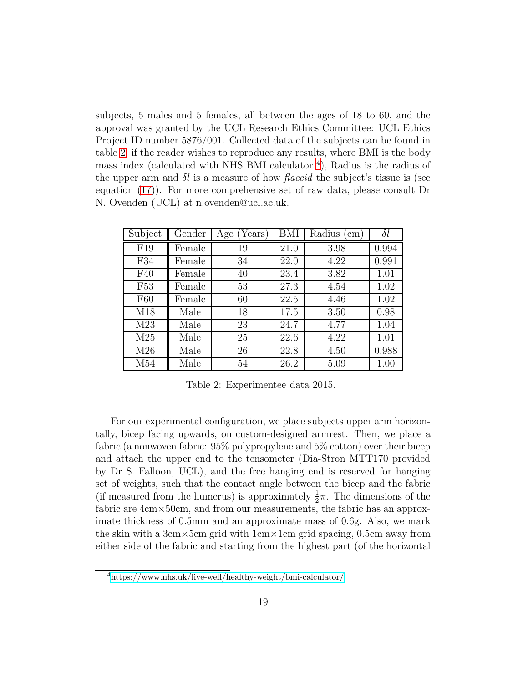subjects, 5 males and 5 females, all between the ages of 18 to 60, and the approval was granted by the UCL Research Ethics Committee: UCL Ethics Project ID number 5876/001. Collected data of the subjects can be found in table [2,](#page-18-0) if the reader wishes to reproduce any results, where BMI is the body mass index (calculated with NHS BMI calculator <sup>[4](#page-18-1)</sup>), Radius is the radius of the upper arm and  $\delta l$  is a measure of how *flaccid* the subject's tissue is (see equation [\(17\)](#page-19-0)). For more comprehensive set of raw data, please consult Dr N. Ovenden (UCL) at n.ovenden@ucl.ac.uk.

<span id="page-18-0"></span>

| Subject         | Gender | (Years)<br>Age | BMI  | Radius (cm) | $\delta l$ |
|-----------------|--------|----------------|------|-------------|------------|
| F19             | Female | 19             | 21.0 | 3.98        | 0.994      |
| F34             | Female | 34             | 22.0 | 4.22        | 0.991      |
| F40             | Female | 40             | 23.4 | 3.82        | 1.01       |
| F <sub>53</sub> | Female | 53             | 27.3 | 4.54        | 1.02       |
| F60             | Female | 60             | 22.5 | 4.46        | 1.02       |
| M18             | Male   | 18             | 17.5 | 3.50        | 0.98       |
| M23             | Male   | 23             | 24.7 | 4.77        | 1.04       |
| M <sub>25</sub> | Male   | 25             | 22.6 | 4.22        | 1.01       |
| M26             | Male   | 26             | 22.8 | 4.50        | 0.988      |
| M54             | Male   | 54             | 26.2 | 5.09        | 1.00       |

Table 2: Experimentee data 2015.

For our experimental configuration, we place subjects upper arm horizontally, bicep facing upwards, on custom-designed armrest. Then, we place a fabric (a nonwoven fabric: 95% polypropylene and 5% cotton) over their bicep and attach the upper end to the tensometer (Dia-Stron MTT170 provided by Dr S. Falloon, UCL), and the free hanging end is reserved for hanging set of weights, such that the contact angle between the bicep and the fabric (if measured from the humerus) is approximately  $\frac{1}{2}\pi$ . The dimensions of the fabric are 4cm×50cm, and from our measurements, the fabric has an approximate thickness of 0.5mm and an approximate mass of 0.6g. Also, we mark the skin with a 3cm×5cm grid with 1cm×1cm grid spacing, 0.5cm away from either side of the fabric and starting from the highest part (of the horizontal

<span id="page-18-1"></span><sup>4</sup><https://www.nhs.uk/live-well/healthy-weight/bmi-calculator/>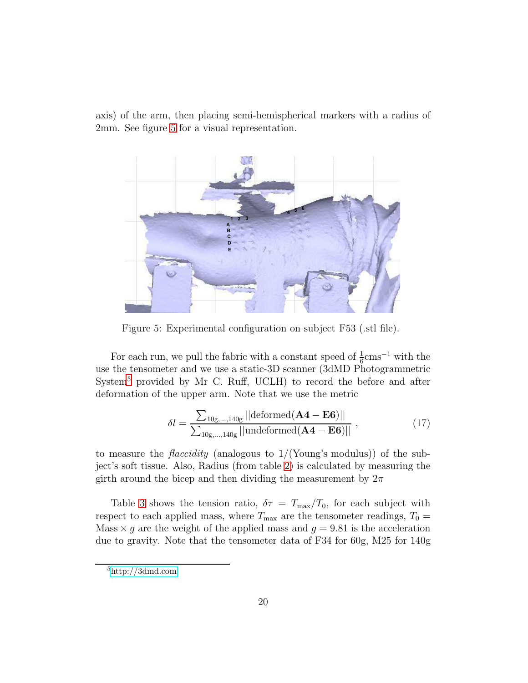axis) of the arm, then placing semi-hemispherical markers with a radius of 2mm. See figure [5](#page-19-1) for a visual representation.

<span id="page-19-1"></span>

Figure 5: Experimental configuration on subject F53 (.stl file).

For each run, we pull the fabric with a constant speed of  $\frac{1}{6}$ cms<sup>-1</sup> with the use the tensometer and we use a static-3D scanner (3dMD Photogrammetric System<sup>[5](#page-19-2)</sup> provided by Mr C. Ruff, UCLH) to record the before and after deformation of the upper arm. Note that we use the metric

<span id="page-19-0"></span>
$$
\delta l = \frac{\sum_{10g,\dots,140g} ||\text{deformed}(\mathbf{A4} - \mathbf{E6})||}{\sum_{10g,\dots,140g} ||\text{undeformed}(\mathbf{A4} - \mathbf{E6})||},
$$
\n(17)

to measure the *flaccidity* (analogous to 1/(Young's modulus)) of the subject's soft tissue. Also, Radius (from table [2\)](#page-18-0) is calculated by measuring the girth around the bicep and then dividing the measurement by  $2\pi$ 

Table [3](#page-20-0) shows the tension ratio,  $\delta \tau = T_{\text{max}}/T_0$ , for each subject with respect to each applied mass, where  $T_{\text{max}}$  are the tensometer readings,  $T_0 =$ Mass  $\times g$  are the weight of the applied mass and  $g = 9.81$  is the acceleration due to gravity. Note that the tensometer data of F34 for 60g, M25 for 140g

<span id="page-19-2"></span><sup>5</sup>[http://3dmd.com](http://www.3dmd.com)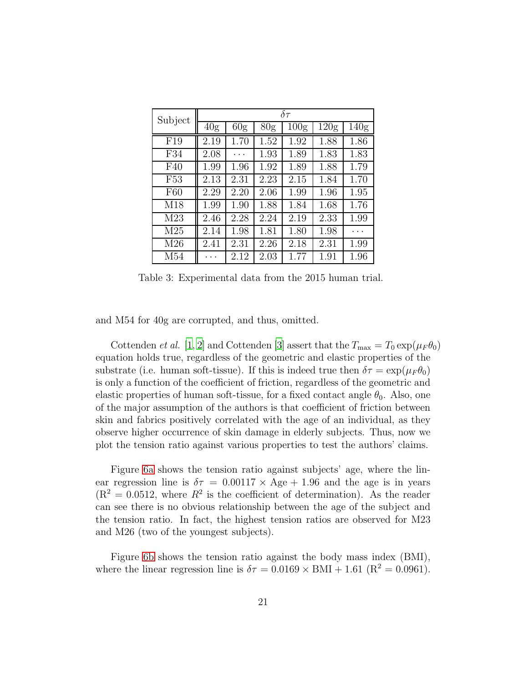<span id="page-20-0"></span>

| Subject         | $\delta \tau$   |                 |                 |                  |                  |                  |  |
|-----------------|-----------------|-----------------|-----------------|------------------|------------------|------------------|--|
|                 | 40 <sub>g</sub> | 60 <sub>g</sub> | 80 <sub>g</sub> | 100 <sub>g</sub> | 120 <sub>g</sub> | 140 <sub>g</sub> |  |
| F19             | 2.19            | 1.70            | 1.52            | 1.92             | 1.88             | 1.86             |  |
| F34             | 2.08            | .               | 1.93            | 1.89             | 1.83             | 1.83             |  |
| F40             | 1.99            | 1.96            | 1.92            | 1.89             | 1.88             | 1.79             |  |
| F <sub>53</sub> | 2.13            | 2.31            | 2.23            | 2.15             | 1.84             | 1.70             |  |
| F60             | 2.29            | 2.20            | 2.06            | 1.99             | 1.96             | 1.95             |  |
| M18             | 1.99            | 1.90            | 1.88            | 1.84             | 1.68             | 1.76             |  |
| M23             | 2.46            | 2.28            | 2.24            | 2.19             | 2.33             | 1.99             |  |
| M25             | 2.14            | 1.98            | 1.81            | 1.80             | 1.98             |                  |  |
| M26             | 2.41            | 2.31            | 2.26            | 2.18             | 2.31             | 1.99             |  |
| M54             |                 | 2.12            | 2.03            | 1.77             | 1.91             | 1.96             |  |

Table 3: Experimental data from the 2015 human trial.

and M54 for 40g are corrupted, and thus, omitted.

Cottenden *et al.* [\[1](#page-23-0), [2\]](#page-23-1) and Cottenden [\[3](#page-23-2)] assert that the  $T_{\text{max}} = T_0 \exp(\mu_F \theta_0)$ equation holds true, regardless of the geometric and elastic properties of the substrate (i.e. human soft-tissue). If this is indeed true then  $\delta \tau = \exp(\mu_F \theta_0)$ is only a function of the coefficient of friction, regardless of the geometric and elastic properties of human soft-tissue, for a fixed contact angle  $\theta_0$ . Also, one of the major assumption of the authors is that coefficient of friction between skin and fabrics positively correlated with the age of an individual, as they observe higher occurrence of skin damage in elderly subjects. Thus, now we plot the tension ratio against various properties to test the authors' claims.

Figure [6a](#page-21-0) shows the tension ratio against subjects' age, where the linear regression line is  $\delta \tau = 0.00117 \times \text{Age} + 1.96$  and the age is in years  $(R<sup>2</sup> = 0.0512$ , where  $R<sup>2</sup>$  is the coefficient of determination). As the reader can see there is no obvious relationship between the age of the subject and the tension ratio. In fact, the highest tension ratios are observed for M23 and M26 (two of the youngest subjects).

Figure [6b](#page-21-0) shows the tension ratio against the body mass index (BMI), where the linear regression line is  $\delta \tau = 0.0169 \times \text{BMI} + 1.61 \text{ (R}^2 = 0.0961).$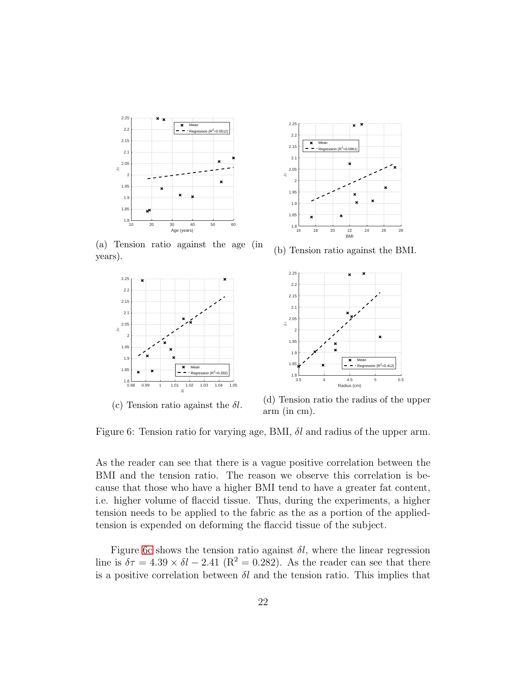<span id="page-21-0"></span>

(a) Tension ratio against the age (in years).





(b) Tension ratio against the BMI.



(d) Tension ratio the radius of the upper arm (in cm).

Figure 6: Tension ratio for varying age, BMI,  $\delta l$  and radius of the upper arm.

As the reader can see that there is a vague positive correlation between the BMI and the tension ratio. The reason we observe this correlation is because that those who have a higher BMI tend to have a greater fat content, i.e. higher volume of flaccid tissue. Thus, during the experiments, a higher tension needs to be applied to the fabric as the as a portion of the appliedtension is expended on deforming the flaccid tissue of the subject.

Figure [6c](#page-21-0) shows the tension ratio against  $\delta l$ , where the linear regression line is  $\delta \tau = 4.39 \times \delta l - 2.41$  (R<sup>2</sup> = 0.282). As the reader can see that there is a positive correlation between  $\delta l$  and the tension ratio. This implies that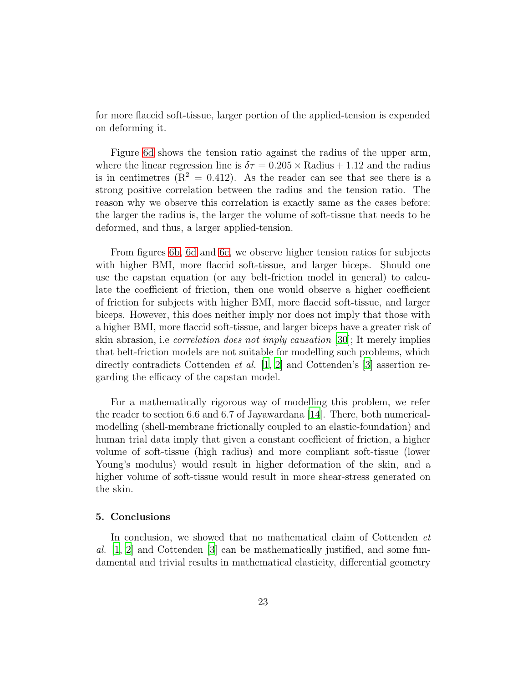for more flaccid soft-tissue, larger portion of the applied-tension is expended on deforming it.

Figure [6d](#page-21-0) shows the tension ratio against the radius of the upper arm, where the linear regression line is  $\delta \tau = 0.205 \times \text{Radius} + 1.12$  and the radius is in centimetres  $(R^2 = 0.412)$ . As the reader can see that see there is a strong positive correlation between the radius and the tension ratio. The reason why we observe this correlation is exactly same as the cases before: the larger the radius is, the larger the volume of soft-tissue that needs to be deformed, and thus, a larger applied-tension.

From figures [6b, 6d](#page-21-0) and [6c,](#page-21-0) we observe higher tension ratios for subjects with higher BMI, more flaccid soft-tissue, and larger biceps. Should one use the capstan equation (or any belt-friction model in general) to calculate the coefficient of friction, then one would observe a higher coefficient of friction for subjects with higher BMI, more flaccid soft-tissue, and larger biceps. However, this does neither imply nor does not imply that those with a higher BMI, more flaccid soft-tissue, and larger biceps have a greater risk of skin abrasion, i.e *correlation does not imply causation* [\[30](#page-26-1)]; It merely implies that belt-friction models are not suitable for modelling such problems, which directly contradicts Cottenden *et al.* [\[1,](#page-23-0) [2](#page-23-1)] and Cottenden's [\[3](#page-23-2)] assertion regarding the efficacy of the capstan model.

For a mathematically rigorous way of modelling this problem, we refer the reader to section 6.6 and 6.7 of Jayawardana [\[14](#page-24-8)]. There, both numericalmodelling (shell-membrane frictionally coupled to an elastic-foundation) and human trial data imply that given a constant coefficient of friction, a higher volume of soft-tissue (high radius) and more compliant soft-tissue (lower Young's modulus) would result in higher deformation of the skin, and a higher volume of soft-tissue would result in more shear-stress generated on the skin.

#### 5. Conclusions

In conclusion, we showed that no mathematical claim of Cottenden *et al.* [\[1,](#page-23-0) [2](#page-23-1)] and Cottenden [\[3](#page-23-2)] can be mathematically justified, and some fundamental and trivial results in mathematical elasticity, differential geometry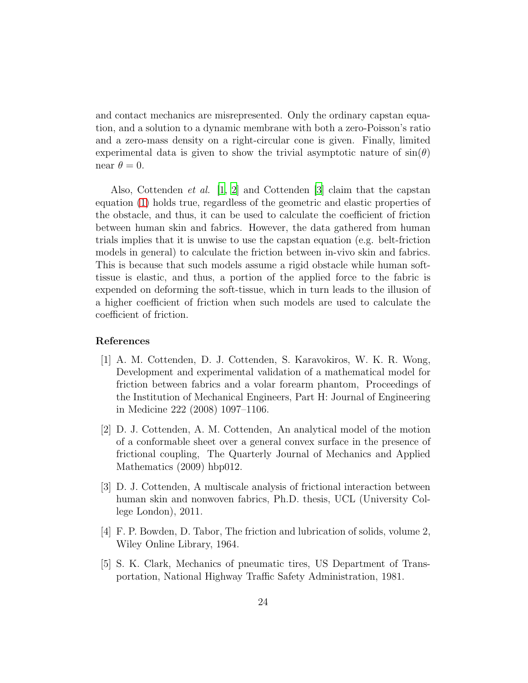and contact mechanics are misrepresented. Only the ordinary capstan equation, and a solution to a dynamic membrane with both a zero-Poisson's ratio and a zero-mass density on a right-circular cone is given. Finally, limited experimental data is given to show the trivial asymptotic nature of  $sin(\theta)$ near  $\theta = 0$ .

Also, Cottenden *et al.* [\[1,](#page-23-0) [2](#page-23-1)] and Cottenden [\[3](#page-23-2)] claim that the capstan equation [\(1\)](#page-1-0) holds true, regardless of the geometric and elastic properties of the obstacle, and thus, it can be used to calculate the coefficient of friction between human skin and fabrics. However, the data gathered from human trials implies that it is unwise to use the capstan equation (e.g. belt-friction models in general) to calculate the friction between in-vivo skin and fabrics. This is because that such models assume a rigid obstacle while human softtissue is elastic, and thus, a portion of the applied force to the fabric is expended on deforming the soft-tissue, which in turn leads to the illusion of a higher coefficient of friction when such models are used to calculate the coefficient of friction.

## References

- <span id="page-23-0"></span>[1] A. M. Cottenden, D. J. Cottenden, S. Karavokiros, W. K. R. Wong, Development and experimental validation of a mathematical model for friction between fabrics and a volar forearm phantom, Proceedings of the Institution of Mechanical Engineers, Part H: Journal of Engineering in Medicine 222 (2008) 1097–1106.
- <span id="page-23-1"></span>[2] D. J. Cottenden, A. M. Cottenden, An analytical model of the motion of a conformable sheet over a general convex surface in the presence of frictional coupling, The Quarterly Journal of Mechanics and Applied Mathematics (2009) hbp012.
- <span id="page-23-2"></span>[3] D. J. Cottenden, A multiscale analysis of frictional interaction between human skin and nonwoven fabrics, Ph.D. thesis, UCL (University College London), 2011.
- <span id="page-23-3"></span>[4] F. P. Bowden, D. Tabor, The friction and lubrication of solids, volume 2, Wiley Online Library, 1964.
- <span id="page-23-4"></span>[5] S. K. Clark, Mechanics of pneumatic tires, US Department of Transportation, National Highway Traffic Safety Administration, 1981.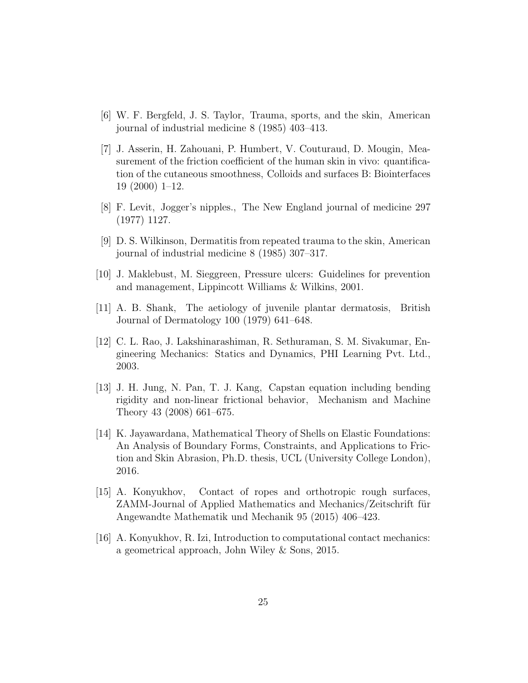- <span id="page-24-0"></span>[6] W. F. Bergfeld, J. S. Taylor, Trauma, sports, and the skin, American journal of industrial medicine 8 (1985) 403–413.
- <span id="page-24-1"></span>[7] J. Asserin, H. Zahouani, P. Humbert, V. Couturaud, D. Mougin, Measurement of the friction coefficient of the human skin in vivo: quantification of the cutaneous smoothness, Colloids and surfaces B: Biointerfaces 19 (2000) 1–12.
- <span id="page-24-2"></span>[8] F. Levit, Jogger's nipples., The New England journal of medicine 297 (1977) 1127.
- <span id="page-24-3"></span>[9] D. S. Wilkinson, Dermatitis from repeated trauma to the skin, American journal of industrial medicine 8 (1985) 307–317.
- <span id="page-24-4"></span>[10] J. Maklebust, M. Sieggreen, Pressure ulcers: Guidelines for prevention and management, Lippincott Williams & Wilkins, 2001.
- <span id="page-24-5"></span>[11] A. B. Shank, The aetiology of juvenile plantar dermatosis, British Journal of Dermatology 100 (1979) 641–648.
- <span id="page-24-6"></span>[12] C. L. Rao, J. Lakshinarashiman, R. Sethuraman, S. M. Sivakumar, Engineering Mechanics: Statics and Dynamics, PHI Learning Pvt. Ltd., 2003.
- <span id="page-24-7"></span>[13] J. H. Jung, N. Pan, T. J. Kang, Capstan equation including bending rigidity and non-linear frictional behavior, Mechanism and Machine Theory 43 (2008) 661–675.
- <span id="page-24-8"></span>[14] K. Jayawardana, Mathematical Theory of Shells on Elastic Foundations: An Analysis of Boundary Forms, Constraints, and Applications to Friction and Skin Abrasion, Ph.D. thesis, UCL (University College London), 2016.
- <span id="page-24-9"></span>[15] A. Konyukhov, Contact of ropes and orthotropic rough surfaces, ZAMM-Journal of Applied Mathematics and Mechanics/Zeitschrift für Angewandte Mathematik und Mechanik 95 (2015) 406–423.
- <span id="page-24-10"></span>[16] A. Konyukhov, R. Izi, Introduction to computational contact mechanics: a geometrical approach, John Wiley & Sons, 2015.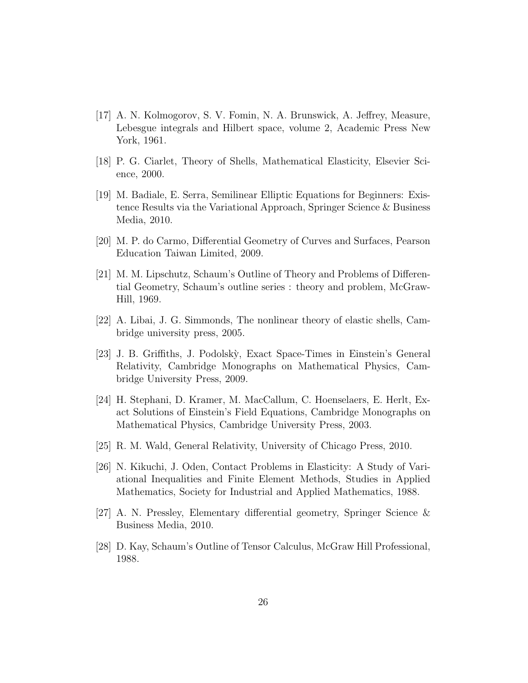- <span id="page-25-0"></span>[17] A. N. Kolmogorov, S. V. Fomin, N. A. Brunswick, A. Jeffrey, Measure, Lebesgue integrals and Hilbert space, volume 2, Academic Press New York, 1961.
- <span id="page-25-1"></span>[18] P. G. Ciarlet, Theory of Shells, Mathematical Elasticity, Elsevier Science, 2000.
- <span id="page-25-2"></span>[19] M. Badiale, E. Serra, Semilinear Elliptic Equations for Beginners: Existence Results via the Variational Approach, Springer Science & Business Media, 2010.
- <span id="page-25-3"></span>[20] M. P. do Carmo, Differential Geometry of Curves and Surfaces, Pearson Education Taiwan Limited, 2009.
- <span id="page-25-4"></span>[21] M. M. Lipschutz, Schaum's Outline of Theory and Problems of Differential Geometry, Schaum's outline series : theory and problem, McGraw-Hill, 1969.
- <span id="page-25-5"></span>[22] A. Libai, J. G. Simmonds, The nonlinear theory of elastic shells, Cambridge university press, 2005.
- <span id="page-25-6"></span>[23] J. B. Griffiths, J. Podolsk`y, Exact Space-Times in Einstein's General Relativity, Cambridge Monographs on Mathematical Physics, Cambridge University Press, 2009.
- [24] H. Stephani, D. Kramer, M. MacCallum, C. Hoenselaers, E. Herlt, Exact Solutions of Einstein's Field Equations, Cambridge Monographs on Mathematical Physics, Cambridge University Press, 2003.
- <span id="page-25-7"></span>[25] R. M. Wald, General Relativity, University of Chicago Press, 2010.
- <span id="page-25-8"></span>[26] N. Kikuchi, J. Oden, Contact Problems in Elasticity: A Study of Variational Inequalities and Finite Element Methods, Studies in Applied Mathematics, Society for Industrial and Applied Mathematics, 1988.
- <span id="page-25-9"></span>[27] A. N. Pressley, Elementary differential geometry, Springer Science & Business Media, 2010.
- <span id="page-25-10"></span>[28] D. Kay, Schaum's Outline of Tensor Calculus, McGraw Hill Professional, 1988.